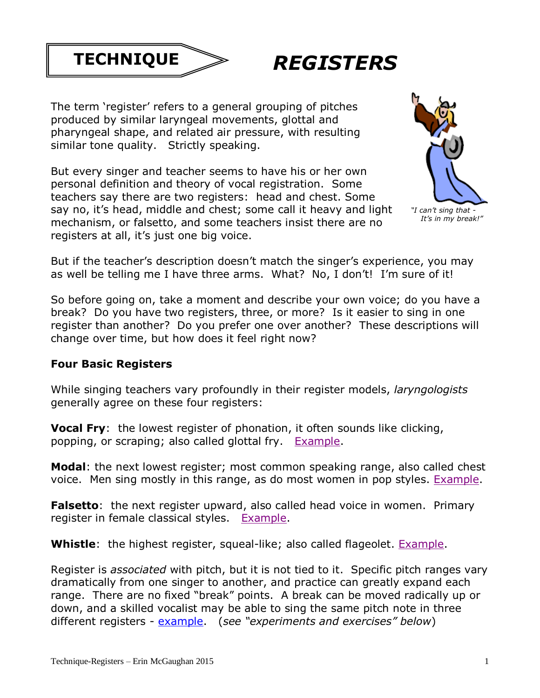



The term 'register' refers to a general grouping of pitches produced by similar laryngeal movements, glottal and pharyngeal shape, and related air pressure, with resulting similar tone quality. Strictly speaking.

But every singer and teacher seems to have his or her own personal definition and theory of vocal registration. Some teachers say there are two registers: head and chest. Some say no, it's head, middle and chest; some call it heavy and light mechanism, or falsetto, and some teachers insist there are no registers at all, it's just one big voice.



But if the teacher's description doesn't match the singer's experience, you may as well be telling me I have three arms. What? No, I don't! I'm sure of it!

So before going on, take a moment and describe your own voice; do you have a break? Do you have two registers, three, or more? Is it easier to sing in one register than another? Do you prefer one over another? These descriptions will change over time, but how does it feel right now?

#### **Four Basic Registers**

While singing teachers vary profoundly in their register models, *laryngologists* generally agree on these four registers:

**Vocal Fry**: the lowest register of phonation, it often sounds like clicking, popping, or scraping; also called glottal fry. [Example.](https://dl.dropboxusercontent.com/u/5513427/DIOS/vocal%20glottal%20fry%20example.mp3)

**Modal**: the next lowest register; most common speaking range, also called chest voice. Men sing mostly in this range, as do most women in pop styles. [Example.](https://dl.dropboxusercontent.com/u/5513427/DIOS/modal%20register%20chest%20voice%20example.mp3)

Falsetto: the next register upward, also called head voice in women. Primary register in female classical styles. [Example.](https://dl.dropboxusercontent.com/u/5513427/DIOS/falsetto%20head%20voice%20example.mp3)

**Whistle**: the highest register, squeal-like; also called flageolet. [Example.](https://dl.dropboxusercontent.com/u/5513427/DIOS/whistle%20tone%20flageolet%20example.mp3)

Register is *associated* with pitch, but it is not tied to it. Specific pitch ranges vary dramatically from one singer to another, and practice can greatly expand each range. There are no fixed "break" points. A break can be moved radically up or down, and a skilled vocalist may be able to sing the same pitch note in three different registers - [example.](https://dl.dropboxusercontent.com/u/5513427/DIOS/One%20note%20three%20registers%20example.mp3) (*see "experiments and exercises" below*)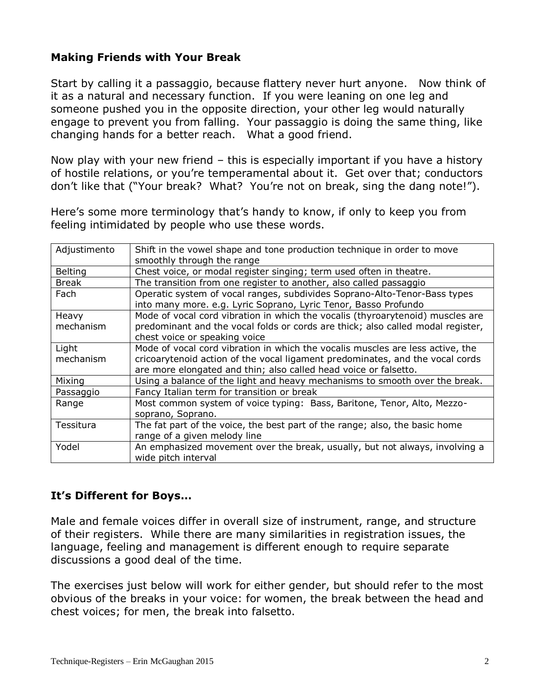### **Making Friends with Your Break**

Start by calling it a passaggio, because flattery never hurt anyone. Now think of it as a natural and necessary function. If you were leaning on one leg and someone pushed you in the opposite direction, your other leg would naturally engage to prevent you from falling. Your passaggio is doing the same thing, like changing hands for a better reach. What a good friend.

Now play with your new friend – this is especially important if you have a history of hostile relations, or you're temperamental about it. Get over that; conductors don't like that ("Your break? What? You're not on break, sing the dang note!").

Here's some more terminology that's handy to know, if only to keep you from feeling intimidated by people who use these words.

| Adjustimento       | Shift in the vowel shape and tone production technique in order to move<br>smoothly through the range                                                                                                                               |
|--------------------|-------------------------------------------------------------------------------------------------------------------------------------------------------------------------------------------------------------------------------------|
| <b>Belting</b>     | Chest voice, or modal register singing; term used often in theatre.                                                                                                                                                                 |
| Break              | The transition from one register to another, also called passaggio                                                                                                                                                                  |
| Fach               | Operatic system of vocal ranges, subdivides Soprano-Alto-Tenor-Bass types<br>into many more. e.g. Lyric Soprano, Lyric Tenor, Basso Profundo                                                                                        |
| Heavy<br>mechanism | Mode of vocal cord vibration in which the vocalis (thyroarytenoid) muscles are<br>predominant and the vocal folds or cords are thick; also called modal register,<br>chest voice or speaking voice                                  |
| Light<br>mechanism | Mode of vocal cord vibration in which the vocalis muscles are less active, the<br>cricoarytenoid action of the vocal ligament predominates, and the vocal cords<br>are more elongated and thin; also called head voice or falsetto. |
| Mixing             | Using a balance of the light and heavy mechanisms to smooth over the break.                                                                                                                                                         |
| Passaggio          | Fancy Italian term for transition or break                                                                                                                                                                                          |
| Range              | Most common system of voice typing: Bass, Baritone, Tenor, Alto, Mezzo-<br>soprano, Soprano.                                                                                                                                        |
| Tessitura          | The fat part of the voice, the best part of the range; also, the basic home<br>range of a given melody line                                                                                                                         |
| Yodel              | An emphasized movement over the break, usually, but not always, involving a<br>wide pitch interval                                                                                                                                  |

#### **It's Different for Boys…**

Male and female voices differ in overall size of instrument, range, and structure of their registers. While there are many similarities in registration issues, the language, feeling and management is different enough to require separate discussions a good deal of the time.

The exercises just below will work for either gender, but should refer to the most obvious of the breaks in your voice: for women, the break between the head and chest voices; for men, the break into falsetto.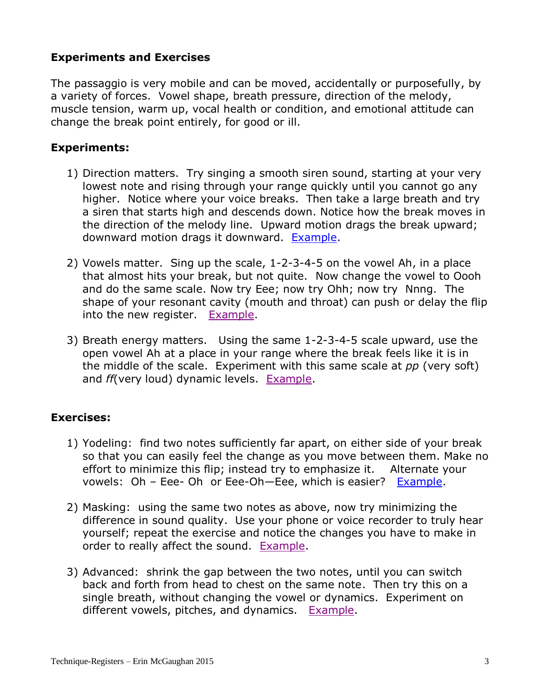### **Experiments and Exercises**

The passaggio is very mobile and can be moved, accidentally or purposefully, by a variety of forces. Vowel shape, breath pressure, direction of the melody, muscle tension, warm up, vocal health or condition, and emotional attitude can change the break point entirely, for good or ill.

#### **Experiments:**

- 1) Direction matters. Try singing a smooth siren sound, starting at your very lowest note and rising through your range quickly until you cannot go any higher. Notice where your voice breaks. Then take a large breath and try a siren that starts high and descends down. Notice how the break moves in the direction of the melody line. Upward motion drags the break upward; downward motion drags it downward. [Example.](https://dl.dropboxusercontent.com/u/5513427/DIOS/4%20reg%20siren%20up%20and%20down%20example.mp3)
- 2) Vowels matter. Sing up the scale, 1-2-3-4-5 on the vowel Ah, in a place that almost hits your break, but not quite. Now change the vowel to Oooh and do the same scale. Now try Eee; now try Ohh; now try Nnng. The shape of your resonant cavity (mouth and throat) can push or delay the flip into the new register. **[Example.](https://dl.dropboxusercontent.com/u/5513427/DIOS/vowel%20shift%20register%20example.mp3)**
- 3) Breath energy matters. Using the same 1-2-3-4-5 scale upward, use the open vowel Ah at a place in your range where the break feels like it is in the middle of the scale. Experiment with this same scale at *pp* (very soft) and *ff*(very loud) dynamic levels. [Example.](https://dl.dropboxusercontent.com/u/5513427/DIOS/mp%20ff%20and%20pp%205%20note%20scales.mp3)

### **Exercises:**

- 1) Yodeling: find two notes sufficiently far apart, on either side of your break so that you can easily feel the change as you move between them. Make no effort to minimize this flip; instead try to emphasize it. Alternate your vowels: Oh – Eee- Oh or Eee-Oh—Eee, which is easier? [Example.](https://dl.dropboxusercontent.com/u/5513427/DIOS/yodel%20example.mp3)
- 2) Masking: using the same two notes as above, now try minimizing the difference in sound quality. Use your phone or voice recorder to truly hear yourself; repeat the exercise and notice the changes you have to make in order to really affect the sound. [Example.](https://dl.dropboxusercontent.com/u/5513427/DIOS/smoothed%20yodel%20example.mp3)
- 3) Advanced: shrink the gap between the two notes, until you can switch back and forth from head to chest on the same note. Then try this on a single breath, without changing the vowel or dynamics. Experiment on different vowels, pitches, and dynamics. [Example.](https://dl.dropboxusercontent.com/u/5513427/DIOS/shrink%20yodel%20example.mp3)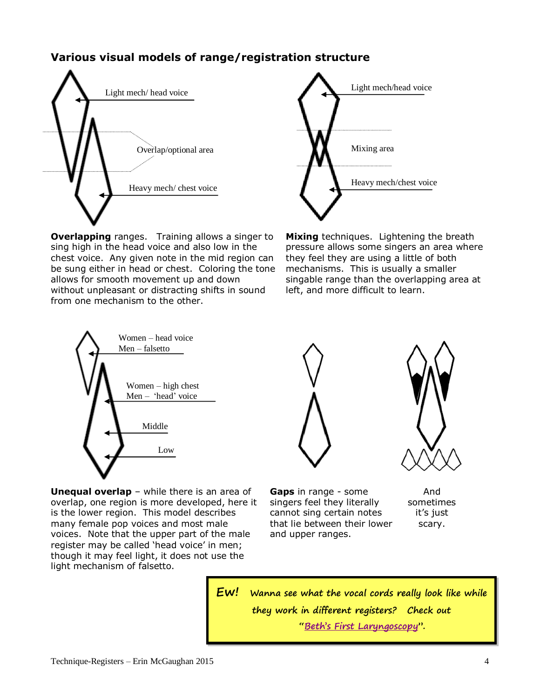# **Various visual models of range/registration structure**







**Mixing** techniques. Lightening the breath pressure allows some singers an area where they feel they are using a little of both mechanisms. This is usually a smaller singable range than the overlapping area at left, and more difficult to learn.



**Unequal overlap** – while there is an area of overlap, one region is more developed, here it is the lower region. This model describes many female pop voices and most male voices. Note that the upper part of the male register may be called 'head voice' in men; though it may feel light, it does not use the light mechanism of falsetto.



**Gaps** in range - some singers feel they literally cannot sing certain notes that lie between their lower and upper ranges.

And sometimes it's just scary.

**Ew! Wanna see what the vocal cords really look like while they work in different registers? Check out "Beth'[s First Laryngoscopy](https://www.youtube.com/watch?v=iYpDwhpILkQ)".**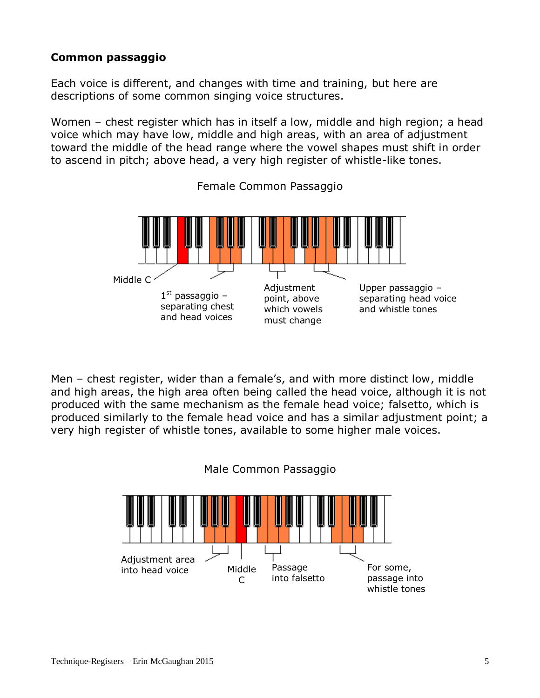# **Common passaggio**

Each voice is different, and changes with time and training, but here are descriptions of some common singing voice structures.

Women – chest register which has in itself a low, middle and high region; a head voice which may have low, middle and high areas, with an area of adjustment toward the middle of the head range where the vowel shapes must shift in order to ascend in pitch; above head, a very high register of whistle-like tones.



Female Common Passaggio

Men – chest register, wider than a female's, and with more distinct low, middle and high areas, the high area often being called the head voice, although it is not produced with the same mechanism as the female head voice; falsetto, which is produced similarly to the female head voice and has a similar adjustment point; a very high register of whistle tones, available to some higher male voices.



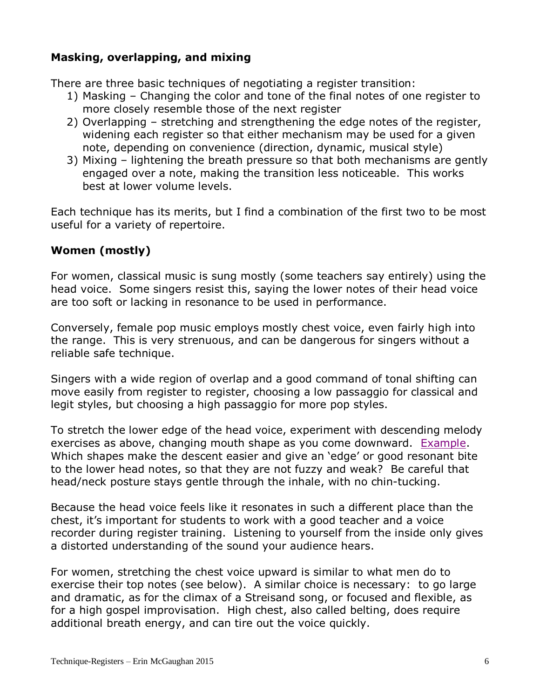# **Masking, overlapping, and mixing**

There are three basic techniques of negotiating a register transition:

- 1) Masking Changing the color and tone of the final notes of one register to more closely resemble those of the next register
- 2) Overlapping stretching and strengthening the edge notes of the register, widening each register so that either mechanism may be used for a given note, depending on convenience (direction, dynamic, musical style)
- 3) Mixing lightening the breath pressure so that both mechanisms are gently engaged over a note, making the transition less noticeable. This works best at lower volume levels.

Each technique has its merits, but I find a combination of the first two to be most useful for a variety of repertoire.

### **Women (mostly)**

For women, classical music is sung mostly (some teachers say entirely) using the head voice. Some singers resist this, saying the lower notes of their head voice are too soft or lacking in resonance to be used in performance.

Conversely, female pop music employs mostly chest voice, even fairly high into the range. This is very strenuous, and can be dangerous for singers without a reliable safe technique.

Singers with a wide region of overlap and a good command of tonal shifting can move easily from register to register, choosing a low passaggio for classical and legit styles, but choosing a high passaggio for more pop styles.

To stretch the lower edge of the head voice, experiment with descending melody exercises as above, changing mouth shape as you come downward. [Example.](https://dl.dropboxusercontent.com/u/5513427/DIOS/stretching%20head%20voice%20down%20example.mp3) Which shapes make the descent easier and give an 'edge' or good resonant bite to the lower head notes, so that they are not fuzzy and weak? Be careful that head/neck posture stays gentle through the inhale, with no chin-tucking.

Because the head voice feels like it resonates in such a different place than the chest, it's important for students to work with a good teacher and a voice recorder during register training. Listening to yourself from the inside only gives a distorted understanding of the sound your audience hears.

For women, stretching the chest voice upward is similar to what men do to exercise their top notes (see below). A similar choice is necessary: to go large and dramatic, as for the climax of a Streisand song, or focused and flexible, as for a high gospel improvisation. High chest, also called belting, does require additional breath energy, and can tire out the voice quickly.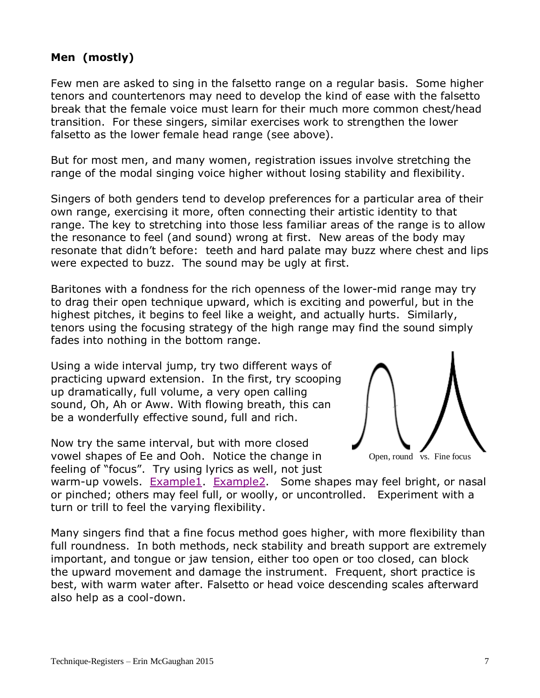# **Men (mostly)**

Few men are asked to sing in the falsetto range on a regular basis. Some higher tenors and countertenors may need to develop the kind of ease with the falsetto break that the female voice must learn for their much more common chest/head transition. For these singers, similar exercises work to strengthen the lower falsetto as the lower female head range (see above).

But for most men, and many women, registration issues involve stretching the range of the modal singing voice higher without losing stability and flexibility.

Singers of both genders tend to develop preferences for a particular area of their own range, exercising it more, often connecting their artistic identity to that range. The key to stretching into those less familiar areas of the range is to allow the resonance to feel (and sound) wrong at first. New areas of the body may resonate that didn't before: teeth and hard palate may buzz where chest and lips were expected to buzz. The sound may be ugly at first.

Baritones with a fondness for the rich openness of the lower-mid range may try to drag their open technique upward, which is exciting and powerful, but in the highest pitches, it begins to feel like a weight, and actually hurts. Similarly, tenors using the focusing strategy of the high range may find the sound simply fades into nothing in the bottom range.

Using a wide interval jump, try two different ways of practicing upward extension. In the first, try scooping up dramatically, full volume, a very open calling sound, Oh, Ah or Aww. With flowing breath, this can be a wonderfully effective sound, full and rich.

Now try the same interval, but with more closed vowel shapes of Ee and Ooh. Notice the change in feeling of "focus". Try using lyrics as well, not just



warm-up vowels. [Example1.](https://dl.dropboxusercontent.com/u/5513427/DIOS/high%20chest%20examples.mp3) [Example2.](https://dl.dropboxusercontent.com/u/5513427/DIOS/high%20chest%20examples2.mp3) Some shapes may feel bright, or nasal or pinched; others may feel full, or woolly, or uncontrolled. Experiment with a turn or trill to feel the varying flexibility.

Many singers find that a fine focus method goes higher, with more flexibility than full roundness. In both methods, neck stability and breath support are extremely important, and tongue or jaw tension, either too open or too closed, can block the upward movement and damage the instrument. Frequent, short practice is best, with warm water after. Falsetto or head voice descending scales afterward also help as a cool-down.